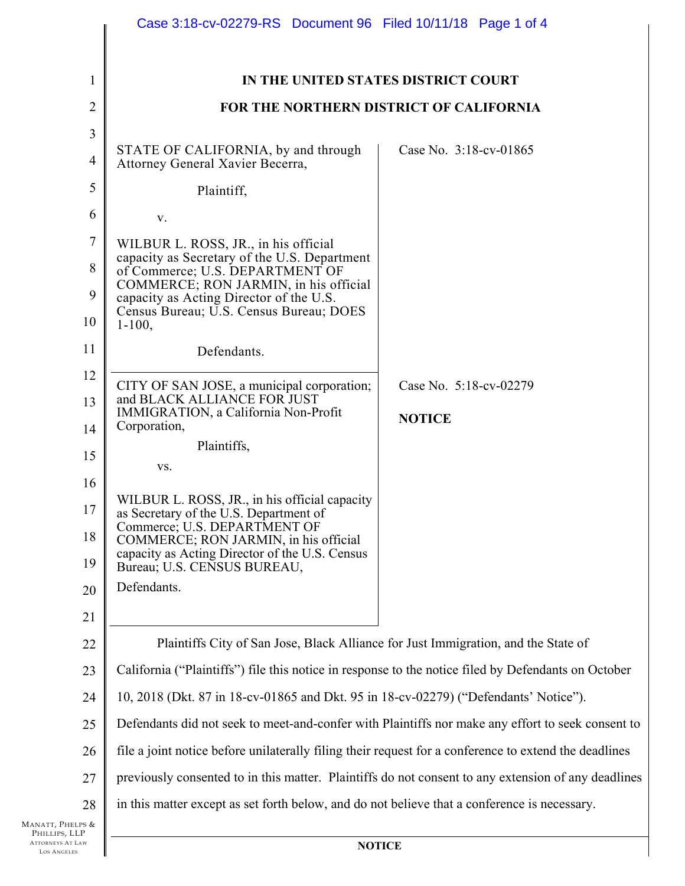|                                               | Case 3:18-cv-02279-RS Document 96 Filed 10/11/18 Page 1 of 4                                          |                                     |  |
|-----------------------------------------------|-------------------------------------------------------------------------------------------------------|-------------------------------------|--|
| $\mathbf{1}$                                  |                                                                                                       | IN THE UNITED STATES DISTRICT COURT |  |
| $\overline{2}$                                | FOR THE NORTHERN DISTRICT OF CALIFORNIA                                                               |                                     |  |
| 3                                             |                                                                                                       |                                     |  |
| $\overline{4}$                                | STATE OF CALIFORNIA, by and through<br>Attorney General Xavier Becerra,                               | Case No. 3:18-cv-01865              |  |
| 5                                             | Plaintiff,                                                                                            |                                     |  |
| 6                                             | V.                                                                                                    |                                     |  |
| $\overline{7}$                                | WILBUR L. ROSS, JR., in his official                                                                  |                                     |  |
| 8                                             | capacity as Secretary of the U.S. Department<br>of Commerce; U.S. DEPARTMENT OF                       |                                     |  |
| 9                                             | COMMERCE; RON JARMIN, in his official<br>capacity as Acting Director of the U.S.                      |                                     |  |
| 10                                            | Census Bureau; U.S. Census Bureau; DOES<br>$1 - 100$ ,                                                |                                     |  |
| 11                                            | Defendants.                                                                                           |                                     |  |
| 12                                            | CITY OF SAN JOSE, a municipal corporation;                                                            | Case No. 5:18-cv-02279              |  |
| 13                                            | and BLACK ALLIANCE FOR JUST<br>IMMIGRATION, a California Non-Profit                                   | <b>NOTICE</b>                       |  |
| 14                                            | Corporation,                                                                                          |                                     |  |
| 15                                            | Plaintiffs,<br>VS.                                                                                    |                                     |  |
| 16                                            |                                                                                                       |                                     |  |
| 17                                            | WILBUR L. ROSS, JR., in his official capacity<br>as Secretary of the U.S. Department of               |                                     |  |
| 18                                            | Commerce; U.S. DEPARTMENT OF<br>COMMERCE; RON JARMIN, in his official                                 |                                     |  |
| 19                                            | capacity as Acting Director of the U.S. Census<br>Bureau; U.S. CENSUS BUREAU,                         |                                     |  |
| 20                                            | Defendants.                                                                                           |                                     |  |
| 21                                            |                                                                                                       |                                     |  |
| 22                                            | Plaintiffs City of San Jose, Black Alliance for Just Immigration, and the State of                    |                                     |  |
| 23                                            | California ("Plaintiffs") file this notice in response to the notice filed by Defendants on October   |                                     |  |
| 24                                            | 10, 2018 (Dkt. 87 in 18-cv-01865 and Dkt. 95 in 18-cv-02279) ("Defendants' Notice").                  |                                     |  |
| 25                                            | Defendants did not seek to meet-and-confer with Plaintiffs nor make any effort to seek consent to     |                                     |  |
| 26                                            | file a joint notice before unilaterally filing their request for a conference to extend the deadlines |                                     |  |
| 27                                            | previously consented to in this matter. Plaintiffs do not consent to any extension of any deadlines   |                                     |  |
| 28                                            | in this matter except as set forth below, and do not believe that a conference is necessary.          |                                     |  |
| MANATT, PHELPS &<br>PHILLIPS, LLP             |                                                                                                       |                                     |  |
| <b>ATTORNEYS AT LAW</b><br><b>LOS ANGELES</b> | <b>NOTICE</b>                                                                                         |                                     |  |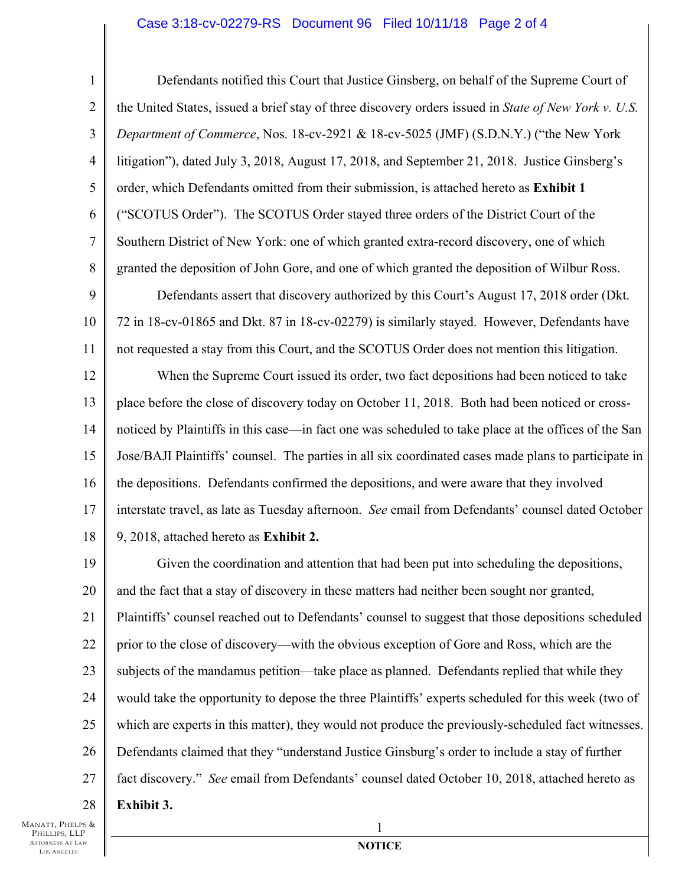## Case 3:18-cv-02279-RS Document 96 Filed 10/11/18 Page 2 of 4

22

23

24

25

27

28

1

2

26 Defendants notified this Court that Justice Ginsberg, on behalf of the Supreme Court of the United States, issued a brief stay of three discovery orders issued in *State of New York v. U.S. Department of Commerce*, Nos. 18-cv-2921 & 18-cv-5025 (JMF) (S.D.N.Y.) ("the New York litigation"), dated July 3, 2018, August 17, 2018, and September 21, 2018. Justice Ginsberg's order, which Defendants omitted from their submission, is attached hereto as **Exhibit 1**  ("SCOTUS Order"). The SCOTUS Order stayed three orders of the District Court of the Southern District of New York: one of which granted extra-record discovery, one of which granted the deposition of John Gore, and one of which granted the deposition of Wilbur Ross. Defendants assert that discovery authorized by this Court's August 17, 2018 order (Dkt. 72 in 18-cv-01865 and Dkt. 87 in 18-cv-02279) is similarly stayed. However, Defendants have not requested a stay from this Court, and the SCOTUS Order does not mention this litigation. When the Supreme Court issued its order, two fact depositions had been noticed to take place before the close of discovery today on October 11, 2018. Both had been noticed or crossnoticed by Plaintiffs in this case—in fact one was scheduled to take place at the offices of the San Jose/BAJI Plaintiffs' counsel. The parties in all six coordinated cases made plans to participate in the depositions. Defendants confirmed the depositions, and were aware that they involved interstate travel, as late as Tuesday afternoon. *See* email from Defendants' counsel dated October 9, 2018, attached hereto as **Exhibit 2.**  Given the coordination and attention that had been put into scheduling the depositions, and the fact that a stay of discovery in these matters had neither been sought nor granted, Plaintiffs' counsel reached out to Defendants' counsel to suggest that those depositions scheduled prior to the close of discovery—with the obvious exception of Gore and Ross, which are the subjects of the mandamus petition—take place as planned. Defendants replied that while they would take the opportunity to depose the three Plaintiffs' experts scheduled for this week (two of which are experts in this matter), they would not produce the previously-scheduled fact witnesses. Defendants claimed that they "understand Justice Ginsburg's order to include a stay of further fact discovery." *See* email from Defendants' counsel dated October 10, 2018, attached hereto as **Exhibit 3.** 

MANATT, PHELPS & PHILLIPS, LLP ATTORNEYS AT LAW LOS ANGELES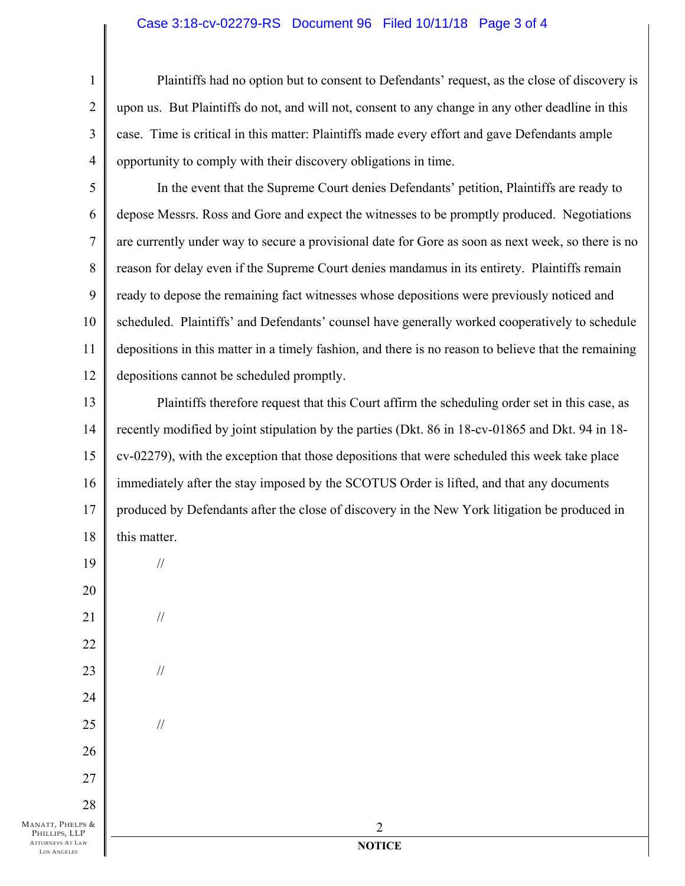## Case 3:18-cv-02279-RS Document 96 Filed 10/11/18 Page 3 of 4

3 4 Plaintiffs had no option but to consent to Defendants' request, as the close of discovery is upon us. But Plaintiffs do not, and will not, consent to any change in any other deadline in this case. Time is critical in this matter: Plaintiffs made every effort and gave Defendants ample opportunity to comply with their discovery obligations in time.

5 6 7 8 9 10 11 12 In the event that the Supreme Court denies Defendants' petition, Plaintiffs are ready to depose Messrs. Ross and Gore and expect the witnesses to be promptly produced. Negotiations are currently under way to secure a provisional date for Gore as soon as next week, so there is no reason for delay even if the Supreme Court denies mandamus in its entirety. Plaintiffs remain ready to depose the remaining fact witnesses whose depositions were previously noticed and scheduled. Plaintiffs' and Defendants' counsel have generally worked cooperatively to schedule depositions in this matter in a timely fashion, and there is no reason to believe that the remaining depositions cannot be scheduled promptly.

13 14 15 16 17 18 Plaintiffs therefore request that this Court affirm the scheduling order set in this case, as recently modified by joint stipulation by the parties (Dkt. 86 in 18-cv-01865 and Dkt. 94 in 18 cv-02279), with the exception that those depositions that were scheduled this week take place immediately after the stay imposed by the SCOTUS Order is lifted, and that any documents produced by Defendants after the close of discovery in the New York litigation be produced in this matter.

//

//

//

//

25

26

27

28

1

2

MANATT, PHELPS & PHILLIPS, LLP ATTORNEYS AT LAW LOS ANGELES